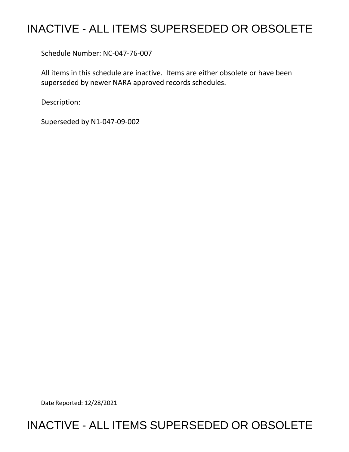## INACTIVE - ALL ITEMS SUPERSEDED OR OBSOLETE

Schedule Number: NC-047-76-007

 All items in this schedule are inactive. Items are either obsolete or have been superseded by newer NARA approved records schedules.

Description:

Superseded by N1-047-09-002

Date Reported: 12/28/2021

## INACTIVE - ALL ITEMS SUPERSEDED OR OBSOLETE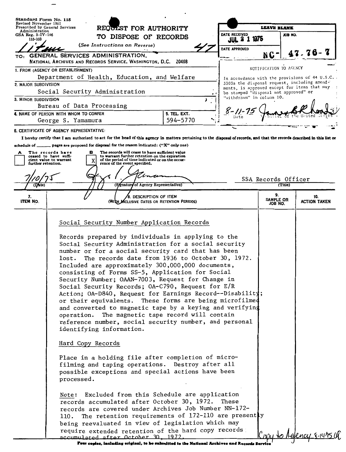| Administration                           | Revised November 1951<br>Prescribed by General Services<br>REQUEST FOR AUTHORITY                                                                                                                                                                                                                                                                                                                                                                                                                                                                                                                                                                                                                                                                                                                                                                                                                                                                                                                                                                                                    | LEAVE BLANK                                |                                                                    |                                |                                                                                              |
|------------------------------------------|-------------------------------------------------------------------------------------------------------------------------------------------------------------------------------------------------------------------------------------------------------------------------------------------------------------------------------------------------------------------------------------------------------------------------------------------------------------------------------------------------------------------------------------------------------------------------------------------------------------------------------------------------------------------------------------------------------------------------------------------------------------------------------------------------------------------------------------------------------------------------------------------------------------------------------------------------------------------------------------------------------------------------------------------------------------------------------------|--------------------------------------------|--------------------------------------------------------------------|--------------------------------|----------------------------------------------------------------------------------------------|
| GSA Reg. $3 - IV - 106$                  |                                                                                                                                                                                                                                                                                                                                                                                                                                                                                                                                                                                                                                                                                                                                                                                                                                                                                                                                                                                                                                                                                     | DATE RECEIVED<br><b>JUL 2 1 1975</b>       |                                                                    | JOB NO.                        |                                                                                              |
| 115-103                                  | (See Instructions on Reverse)                                                                                                                                                                                                                                                                                                                                                                                                                                                                                                                                                                                                                                                                                                                                                                                                                                                                                                                                                                                                                                                       | TO DISPOSE OF RECORDS                      |                                                                    |                                |                                                                                              |
|                                          |                                                                                                                                                                                                                                                                                                                                                                                                                                                                                                                                                                                                                                                                                                                                                                                                                                                                                                                                                                                                                                                                                     |                                            | DATE APPROVED                                                      |                                | 47.76-                                                                                       |
| TO:                                      | GENERAL SERVICES ADMINISTRATION,<br>NATIONAL ARCHIVES AND RECORDS SERVICE, WASHINGTON, D.C. 20408                                                                                                                                                                                                                                                                                                                                                                                                                                                                                                                                                                                                                                                                                                                                                                                                                                                                                                                                                                                   |                                            |                                                                    | NC-                            |                                                                                              |
|                                          | 1. FROM (AGENCY OR ESTABLISHMENT)                                                                                                                                                                                                                                                                                                                                                                                                                                                                                                                                                                                                                                                                                                                                                                                                                                                                                                                                                                                                                                                   |                                            |                                                                    | NOTIFICATION TO AGENCY         |                                                                                              |
|                                          | Department of Health, Education, and Welfare                                                                                                                                                                                                                                                                                                                                                                                                                                                                                                                                                                                                                                                                                                                                                                                                                                                                                                                                                                                                                                        |                                            |                                                                    |                                | In accordance with the provisions of 44 U.S.C. .                                             |
| 2. MAJOR SUBDIVISION                     |                                                                                                                                                                                                                                                                                                                                                                                                                                                                                                                                                                                                                                                                                                                                                                                                                                                                                                                                                                                                                                                                                     |                                            |                                                                    |                                | 3303a the disposal request, including amend-<br>ments, is approved except for items that may |
|                                          | Social Security Administration                                                                                                                                                                                                                                                                                                                                                                                                                                                                                                                                                                                                                                                                                                                                                                                                                                                                                                                                                                                                                                                      |                                            | be stamped "disposal not approved" or<br>"withdrawn" in column 10. |                                |                                                                                              |
| 3. MINOR SUBDIVISION                     | Bureau of Data Processing                                                                                                                                                                                                                                                                                                                                                                                                                                                                                                                                                                                                                                                                                                                                                                                                                                                                                                                                                                                                                                                           |                                            |                                                                    |                                |                                                                                              |
|                                          | 4. NAME OF PERSON WITH WHOM TO CONFER                                                                                                                                                                                                                                                                                                                                                                                                                                                                                                                                                                                                                                                                                                                                                                                                                                                                                                                                                                                                                                               | 5. TEL. EXT.                               |                                                                    |                                |                                                                                              |
|                                          | George S. Yamamura                                                                                                                                                                                                                                                                                                                                                                                                                                                                                                                                                                                                                                                                                                                                                                                                                                                                                                                                                                                                                                                                  | 594-5770                                   |                                                                    |                                |                                                                                              |
|                                          | 6. CERTIFICATE OF AGENCY REPRESENTATIVE:                                                                                                                                                                                                                                                                                                                                                                                                                                                                                                                                                                                                                                                                                                                                                                                                                                                                                                                                                                                                                                            |                                            |                                                                    |                                |                                                                                              |
|                                          | I hereby certify that I am authorized to act for the head of this agency in matters pertaining to the disposal of records, and that the records described in this list or                                                                                                                                                                                                                                                                                                                                                                                                                                                                                                                                                                                                                                                                                                                                                                                                                                                                                                           |                                            |                                                                    |                                |                                                                                              |
| schedule of _                            |                                                                                                                                                                                                                                                                                                                                                                                                                                                                                                                                                                                                                                                                                                                                                                                                                                                                                                                                                                                                                                                                                     |                                            |                                                                    |                                |                                                                                              |
| furth <del>er</del> retention.<br>(Date) | to warrant further retention on the expiration<br>ceased to have suffi-<br>of the period of time indicated or on the occur-<br>cient value to warrant<br>X<br>rence of the event specified.<br>(Signature of Agency Representative)                                                                                                                                                                                                                                                                                                                                                                                                                                                                                                                                                                                                                                                                                                                                                                                                                                                 |                                            |                                                                    | SSA Records Officer<br>(Title) |                                                                                              |
|                                          |                                                                                                                                                                                                                                                                                                                                                                                                                                                                                                                                                                                                                                                                                                                                                                                                                                                                                                                                                                                                                                                                                     |                                            |                                                                    |                                |                                                                                              |
| 7.<br><b>ITEM NO.</b>                    | DESCRIPTION OF ITEM<br>(WITH MCLUSIVE DATES OR RETENTION PERIODS)                                                                                                                                                                                                                                                                                                                                                                                                                                                                                                                                                                                                                                                                                                                                                                                                                                                                                                                                                                                                                   |                                            |                                                                    | 9.<br>SAMPLE OR<br>JOB NO.     | 10.<br><b>ACTION TAKEN</b>                                                                   |
|                                          |                                                                                                                                                                                                                                                                                                                                                                                                                                                                                                                                                                                                                                                                                                                                                                                                                                                                                                                                                                                                                                                                                     |                                            |                                                                    |                                |                                                                                              |
|                                          |                                                                                                                                                                                                                                                                                                                                                                                                                                                                                                                                                                                                                                                                                                                                                                                                                                                                                                                                                                                                                                                                                     |                                            |                                                                    |                                |                                                                                              |
|                                          | Records prepared by individuals in applying to the<br>Social Security Administration for a social security<br>number or for a social security card that has been<br>lost. The records date from 1936 to October 30, 1972.<br>Included are approximately 300,000,000 documents,<br>consisting of Forms SS-5, Application for Social<br>Security Number; OAAN-7003, Request for Change in<br>Social Security Records; OA-C790, Request for E/R<br>Action; OA-D840, Request for Earnings Record--Disability;<br>or their equivalents. These forms are being microfilmed<br>and converted to magnetic tape by a keying and verifying<br>The magnetic tape record will contain<br>operation.<br>reference number, social security number, and personal<br>identifying information.<br>Hard Copy Records<br>Place in a holding file after completion of micro-<br>filming and taping operations. Destroy after all<br>possible exceptions and special actions have been<br>processed.<br>Note: Excluded from this Schedule are application<br>records accumulated after October 30, 1972. | Social Security Number Application Records | These                                                              |                                |                                                                                              |
|                                          | records are covered under Archives Job Number NN-172-<br>The retention requirements of 172-110 are presently<br>110.<br>being reevaluated in view of legislation which may<br>require extended retention of the hard copy records                                                                                                                                                                                                                                                                                                                                                                                                                                                                                                                                                                                                                                                                                                                                                                                                                                                   |                                            |                                                                    |                                | <u>efency 8-14750</u>                                                                        |